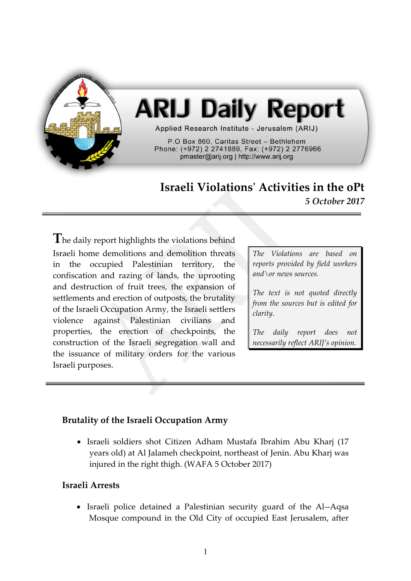

# **ARIJ Daily Report**

Applied Research Institute - Jerusalem (ARIJ)

P.O Box 860. Caritas Street - Bethlehem Phone: (+972) 2 2741889, Fax: (+972) 2 2776966 pmaster@arij.org | http://www.arij.org

## **Israeli Violations' Activities in the oPt** *5 October 2017*

**T**he daily report highlights the violations behind Israeli home demolitions and demolition threats in the occupied Palestinian territory, the confiscation and razing of lands, the uprooting and destruction of fruit trees, the expansion of settlements and erection of outposts, the brutality of the Israeli Occupation Army, the Israeli settlers violence against Palestinian civilians and properties, the erection of checkpoints, the construction of the Israeli segregation wall and the issuance of military orders for the various Israeli purposes.

*The Violations are based on reports provided by field workers and\or news sources.*

*The text is not quoted directly from the sources but is edited for clarity.*

*The daily report does not necessarily reflect ARIJ's opinion.*

### **Brutality of the Israeli Occupation Army**

 Israeli soldiers shot Citizen Adham Mustafa Ibrahim Abu Kharj (17 years old) at Al Jalameh checkpoint, northeast of Jenin. Abu Kharj was injured in the right thigh. (WAFA 5 October 2017)

#### **Israeli Arrests**

• Israeli police detained a Palestinian security guard of the Al--Aqsa Mosque compound in the Old City of occupied East Jerusalem, after